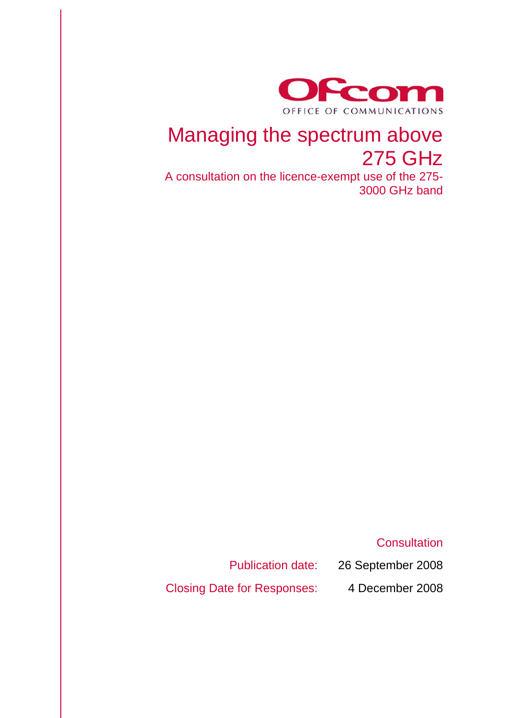

## Managing the spectrum above 275 GHz

A consultation on the licence-exempt use of the 275- 3000 GHz band

**Consultation** 

Publication date: 26 September 2008

Closing Date for Responses: 4 December 2008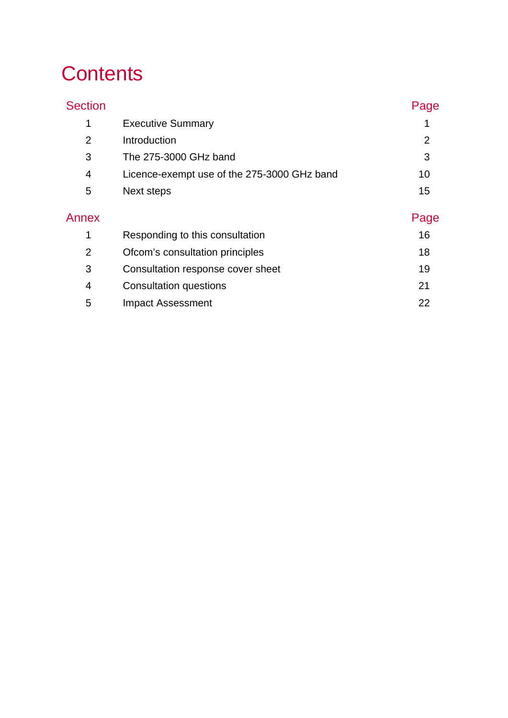# **Contents**

| <b>Section</b> |                                             | Page           |
|----------------|---------------------------------------------|----------------|
| 1              | <b>Executive Summary</b>                    |                |
| $\overline{2}$ | Introduction                                | $\overline{2}$ |
| 3              | The 275-3000 GHz band                       | 3              |
| 4              | Licence-exempt use of the 275-3000 GHz band | 10             |
| 5              | Next steps                                  | 15             |
| Annex          |                                             | Page           |
| 1              | Responding to this consultation             | 16             |
| $\overline{2}$ | Ofcom's consultation principles             | 18             |
| 3              | Consultation response cover sheet           | 19             |
| 4              | Consultation questions                      | 21             |
| 5              | <b>Impact Assessment</b>                    | 22             |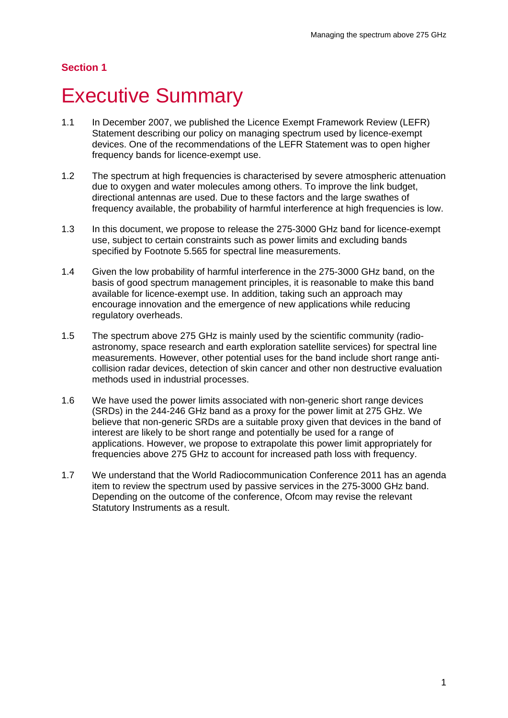## **Executive Summary**

- 1.1 In December 2007, we published the Licence Exempt Framework Review (LEFR) Statement describing our policy on managing spectrum used by licence-exempt devices. One of the recommendations of the LEFR Statement was to open higher frequency bands for licence-exempt use.
- 1.2 The spectrum at high frequencies is characterised by severe atmospheric attenuation due to oxygen and water molecules among others. To improve the link budget, directional antennas are used. Due to these factors and the large swathes of frequency available, the probability of harmful interference at high frequencies is low.
- 1.3 In this document, we propose to release the 275-3000 GHz band for licence-exempt use, subject to certain constraints such as power limits and excluding bands specified by Footnote 5.565 for spectral line measurements.
- 1.4 Given the low probability of harmful interference in the 275-3000 GHz band, on the basis of good spectrum management principles, it is reasonable to make this band available for licence-exempt use. In addition, taking such an approach may encourage innovation and the emergence of new applications while reducing regulatory overheads.
- 1.5 The spectrum above 275 GHz is mainly used by the scientific community (radioastronomy, space research and earth exploration satellite services) for spectral line measurements. However, other potential uses for the band include short range anticollision radar devices, detection of skin cancer and other non destructive evaluation methods used in industrial processes.
- 1.6 We have used the power limits associated with non-generic short range devices (SRDs) in the 244-246 GHz band as a proxy for the power limit at 275 GHz. We believe that non-generic SRDs are a suitable proxy given that devices in the band of interest are likely to be short range and potentially be used for a range of applications. However, we propose to extrapolate this power limit appropriately for frequencies above 275 GHz to account for increased path loss with frequency.
- 1.7 We understand that the World Radiocommunication Conference 2011 has an agenda item to review the spectrum used by passive services in the 275-3000 GHz band. Depending on the outcome of the conference, Ofcom may revise the relevant Statutory Instruments as a result.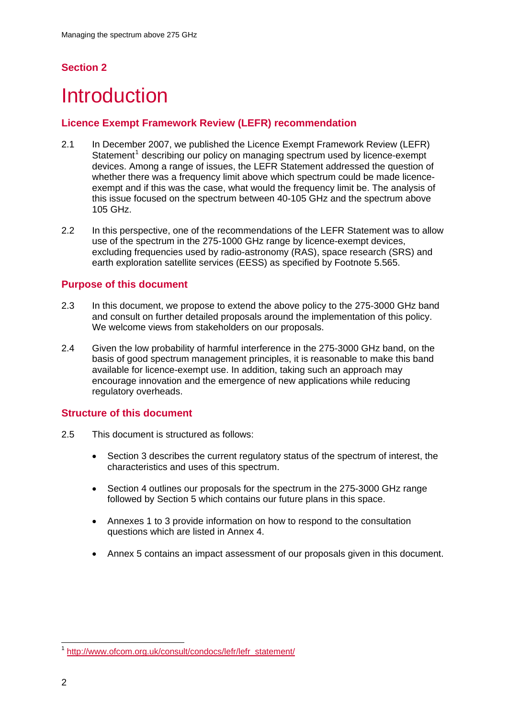## **Introduction**

### **Licence Exempt Framework Review (LEFR) recommendation**

- 2.1 In December 2007, we published the Licence Exempt Framework Review (LEFR) Statement<sup>[1](#page-4-0)</sup> describing our policy on managing spectrum used by licence-exempt devices. Among a range of issues, the LEFR Statement addressed the question of whether there was a frequency limit above which spectrum could be made licenceexempt and if this was the case, what would the frequency limit be. The analysis of this issue focused on the spectrum between 40-105 GHz and the spectrum above 105 GHz.
- 2.2 In this perspective, one of the recommendations of the LEFR Statement was to allow use of the spectrum in the 275-1000 GHz range by licence-exempt devices, excluding frequencies used by radio-astronomy (RAS), space research (SRS) and earth exploration satellite services (EESS) as specified by Footnote 5.565.

### **Purpose of this document**

- 2.3 In this document, we propose to extend the above policy to the 275-3000 GHz band and consult on further detailed proposals around the implementation of this policy. We welcome views from stakeholders on our proposals.
- 2.4 Given the low probability of harmful interference in the 275-3000 GHz band, on the basis of good spectrum management principles, it is reasonable to make this band available for licence-exempt use. In addition, taking such an approach may encourage innovation and the emergence of new applications while reducing regulatory overheads.

### **Structure of this document**

- 2.5 This document is structured as follows:
	- Section 3 describes the current regulatory status of the spectrum of interest, the characteristics and uses of this spectrum.
	- Section 4 outlines our proposals for the spectrum in the 275-3000 GHz range followed by Section 5 which contains our future plans in this space.
	- Annexes 1 to 3 provide information on how to respond to the consultation questions which are listed in Annex 4.
	- Annex 5 contains an impact assessment of our proposals given in this document.

 $\overline{a}$ 

<span id="page-4-0"></span><sup>&</sup>lt;sup>1</sup> [http://www.ofcom.org.uk/consult/condocs/lefr/lefr\\_statement/](http://www.ofcom.org.uk/consult/condocs/lefr/lefr_statement/)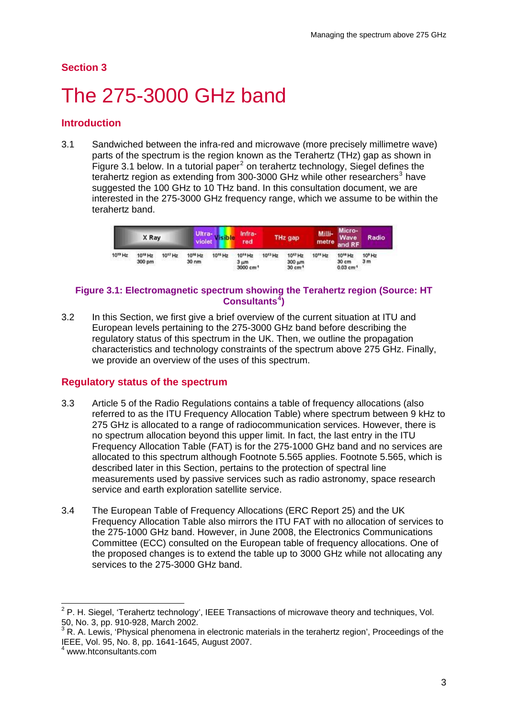# The 275-3000 GHz band

### **Introduction**

3.1 Sandwiched between the infra-red and microwave (more precisely millimetre wave) parts of the spectrum is the region known as the Terahertz (THz) gap as shown in Figure 3.1 below. In a tutorial paper $^2$  $^2$  on terahertz technology, Siegel defines the terahertz region as extending from [3](#page-5-1)00-3000 GHz while other researchers<sup>3</sup> have suggested the 100 GHz to 10 THz band. In this consultation document, we are interested in the 275-3000 GHz frequency range, which we assume to be within the terahertz band.

|                     | X Ray                         |                     | violet                                  | Ultra- visible      | Infra-<br>red                                            |                     | THz gap                                              | Milli-<br>metre and RF | Micro-<br>Wave                                          | <b>Radio</b>                         |
|---------------------|-------------------------------|---------------------|-----------------------------------------|---------------------|----------------------------------------------------------|---------------------|------------------------------------------------------|------------------------|---------------------------------------------------------|--------------------------------------|
| 10 <sup>19</sup> Hz | 10 <sup>18</sup> Hz<br>300 pm | 10 <sup>17</sup> Hz | 10 <sup>16</sup> Hz<br>30 <sub>nm</sub> | 10 <sup>15</sup> Hz | 10 <sup>14</sup> Hz<br>$3 \mu m$<br>3000 cm <sup>1</sup> | 10 <sup>13</sup> Hz | 10 <sup>17</sup> Hz<br>300 um<br>30 cm <sup>-1</sup> | 10 <sup>11</sup> Hz    | 10 <sup>10</sup> Hz<br>30 cm<br>$0.03$ cm <sup>-1</sup> | 10 <sup>9</sup> Hz<br>3 <sub>m</sub> |

#### **Figure 3.1: Electromagnetic spectrum showing the Terahertz region (Source: HT Consultants[4](#page-5-2) )**

3.2 In this Section, we first give a brief overview of the current situation at ITU and European levels pertaining to the 275-3000 GHz band before describing the regulatory status of this spectrum in the UK. Then, we outline the propagation characteristics and technology constraints of the spectrum above 275 GHz. Finally, we provide an overview of the uses of this spectrum.

#### **Regulatory status of the spectrum**

- 3.3 Article 5 of the Radio Regulations contains a table of frequency allocations (also referred to as the ITU Frequency Allocation Table) where spectrum between 9 kHz to 275 GHz is allocated to a range of radiocommunication services. However, there is no spectrum allocation beyond this upper limit. In fact, the last entry in the ITU Frequency Allocation Table (FAT) is for the 275-1000 GHz band and no services are allocated to this spectrum although Footnote 5.565 applies. Footnote 5.565, which is described later in this Section, pertains to the protection of spectral line measurements used by passive services such as radio astronomy, space research service and earth exploration satellite service.
- 3.4 The European Table of Frequency Allocations (ERC Report 25) and the UK Frequency Allocation Table also mirrors the ITU FAT with no allocation of services to the 275-1000 GHz band. However, in June 2008, the Electronics Communications Committee (ECC) consulted on the European table of frequency allocations. One of the proposed changes is to extend the table up to 3000 GHz while not allocating any services to the 275-3000 GHz band.

<span id="page-5-0"></span> 2 P. H. Siegel, 'Terahertz technology', IEEE Transactions of microwave theory and techniques, Vol. 50, No. 3, pp. 910-928, March 2002.

<span id="page-5-1"></span> $3$  R. A. Lewis, 'Physical phenomena in electronic materials in the terahertz region', Proceedings of the IEEE, Vol. 95, No. 8, pp. 1641-1645, August 2007. 4

<span id="page-5-2"></span>www.htconsultants.com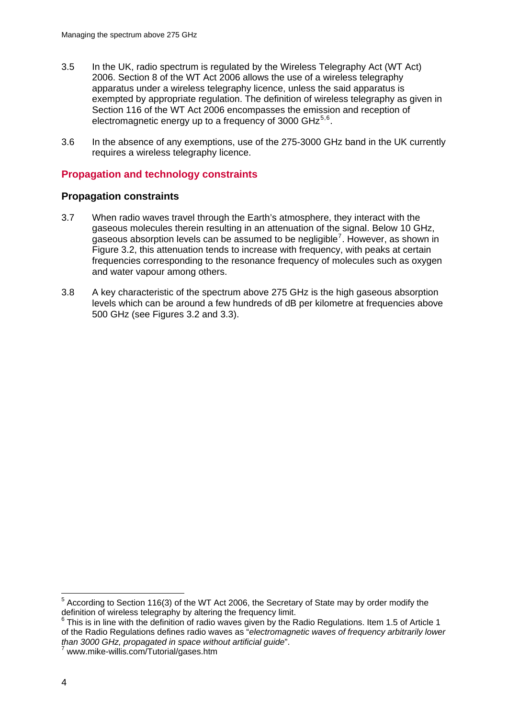- 3.5 In the UK, radio spectrum is regulated by the Wireless Telegraphy Act (WT Act) 2006. Section 8 of the WT Act 2006 allows the use of a wireless telegraphy apparatus under a wireless telegraphy licence, unless the said apparatus is exempted by appropriate regulation. The definition of wireless telegraphy as given in Section 116 of the WT Act 2006 encompasses the emission and reception of electromagnetic energy up to a frequency of 3000 GHz $<sup>5,6</sup>$  $<sup>5,6</sup>$  $<sup>5,6</sup>$  $<sup>5,6</sup>$  $<sup>5,6</sup>$ .</sup>
- 3.6 In the absence of any exemptions, use of the 275-3000 GHz band in the UK currently requires a wireless telegraphy licence.

### **Propagation and technology constraints**

#### **Propagation constraints**

- 3.7 When radio waves travel through the Earth's atmosphere, they interact with the gaseous molecules therein resulting in an attenuation of the signal. Below 10 GHz, gaseous absorption levels can be assumed to be negligible<sup>[7](#page-6-2)</sup>. However, as shown in Figure 3.2, this attenuation tends to increase with frequency, with peaks at certain frequencies corresponding to the resonance frequency of molecules such as oxygen and water vapour among others.
- 3.8 A key characteristic of the spectrum above 275 GHz is the high gaseous absorption levels which can be around a few hundreds of dB per kilometre at frequencies above 500 GHz (see Figures 3.2 and 3.3).

1

<span id="page-6-0"></span><sup>&</sup>lt;sup>5</sup> According to Section 116(3) of the WT Act 2006, the Secretary of State may by order modify the definition of wireless telegraphy by altering the frequency limit.

<span id="page-6-1"></span><sup>&</sup>lt;sup>6</sup> This is in line with the definition of radio waves given by the Radio Regulations. Item 1.5 of Article 1 of the Radio Regulations defines radio waves as "*electromagnetic waves of frequency arbitrarily lower than 3000 GHz, propagated in space without artificial guide*".<br><sup>7</sup> www.mike-willis.com/Tutorial/gases.htm

<span id="page-6-2"></span>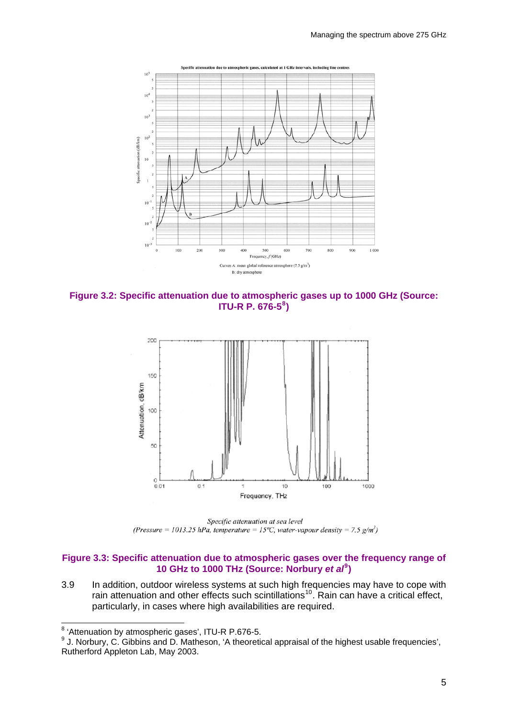

**Figure 3.2: Specific attenuation due to atmospheric gases up to 1000 GHz (Source: ITU-R P. 676-5[8](#page-7-0) )** 



Specific attenuation at sea level (Pressure = 1013.25 hPa, temperature = 15°C, water-vapour density = 7.5 g/m<sup>3</sup>)

#### **Figure 3.3: Specific attenuation due to atmospheric gases over the frequency range of 10 GHz to 1000 THz (Source: Norbury** *et al***[9](#page-7-1) )**

3.9 In addition, outdoor wireless systems at such high frequencies may have to cope with rain attenuation and other effects such scintillations<sup>[10](#page-7-0)</sup>. Rain can have a critical effect, particularly, in cases where high availabilities are required.

 8 'Attenuation by atmospheric gases', ITU-R P.676-5.

<span id="page-7-1"></span><span id="page-7-0"></span> $9$  J. Norbury, C. Gibbins and D. Matheson, 'A theoretical appraisal of the highest usable frequencies', Rutherford Appleton Lab, May 2003.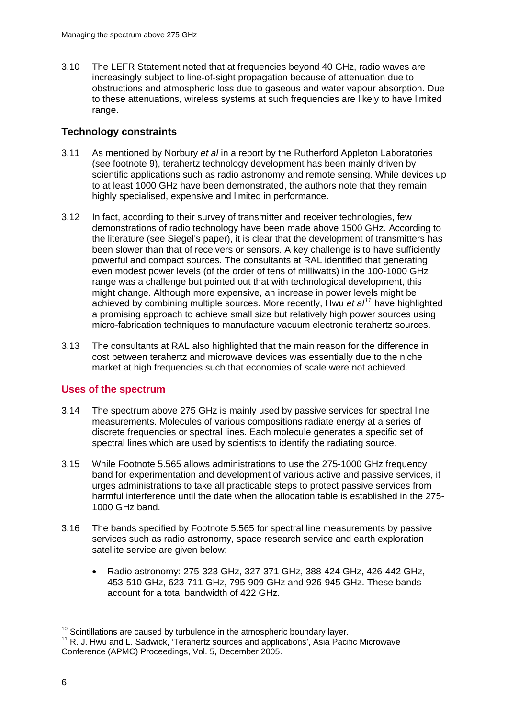3.10 The LEFR Statement noted that at frequencies beyond 40 GHz, radio waves are increasingly subject to line-of-sight propagation because of attenuation due to obstructions and atmospheric loss due to gaseous and water vapour absorption. Due to these attenuations, wireless systems at such frequencies are likely to have limited range.

#### **Technology constraints**

- 3.11 As mentioned by Norbury *et al* in a report by the Rutherford Appleton Laboratories (see footnote 9), terahertz technology development has been mainly driven by scientific applications such as radio astronomy and remote sensing. While devices up to at least 1000 GHz have been demonstrated, the authors note that they remain highly specialised, expensive and limited in performance.
- 3.12 In fact, according to their survey of transmitter and receiver technologies, few demonstrations of radio technology have been made above 1500 GHz. According to the literature (see Siegel's paper), it is clear that the development of transmitters has been slower than that of receivers or sensors. A key challenge is to have sufficiently powerful and compact sources. The consultants at RAL identified that generating even modest power levels (of the order of tens of milliwatts) in the 100-1000 GHz range was a challenge but pointed out that with technological development, this might change. Although more expensive, an increase in power levels might be achieved by combining multiple sources. More recently, Hwu *et al[11](#page-8-0)* have highlighted a promising approach to achieve small size but relatively high power sources using micro-fabrication techniques to manufacture vacuum electronic terahertz sources.
- 3.13 The consultants at RAL also highlighted that the main reason for the difference in cost between terahertz and microwave devices was essentially due to the niche market at high frequencies such that economies of scale were not achieved.

### **Uses of the spectrum**

- 3.14 The spectrum above 275 GHz is mainly used by passive services for spectral line measurements. Molecules of various compositions radiate energy at a series of discrete frequencies or spectral lines. Each molecule generates a specific set of spectral lines which are used by scientists to identify the radiating source.
- 3.15 While Footnote 5.565 allows administrations to use the 275-1000 GHz frequency band for experimentation and development of various active and passive services, it urges administrations to take all practicable steps to protect passive services from harmful interference until the date when the allocation table is established in the 275- 1000 GHz band.
- 3.16 The bands specified by Footnote 5.565 for spectral line measurements by passive services such as radio astronomy, space research service and earth exploration satellite service are given below:
	- Radio astronomy: 275-323 GHz, 327-371 GHz, 388-424 GHz, 426-442 GHz, 453-510 GHz, 623-711 GHz, 795-909 GHz and 926-945 GHz. These bands account for a total bandwidth of 422 GHz.

 $10$  Scintillations are caused by turbulence in the atmospheric boundary layer.

<span id="page-8-0"></span><sup>10</sup> Scintillations are caused by turbulence in the atmospheric boundary layer. 11 R. J. Hwu and L. Sadwick, 'Terahertz sources and applications', Asia Pacific Microwave Conference (APMC) Proceedings, Vol. 5, December 2005.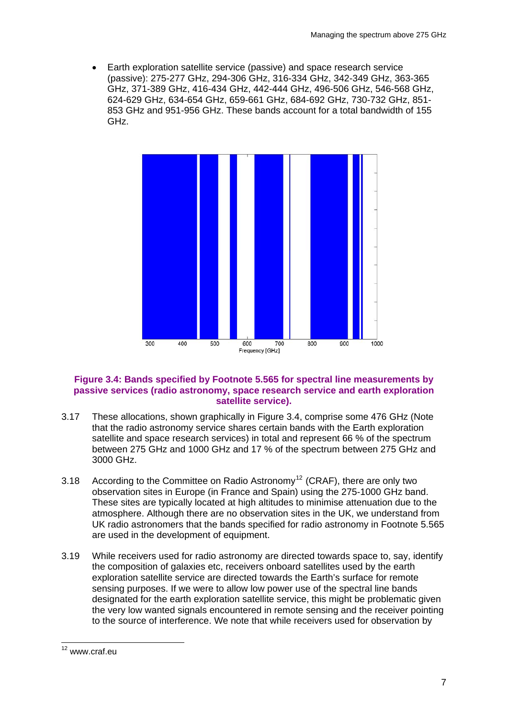• Earth exploration satellite service (passive) and space research service (passive): 275-277 GHz, 294-306 GHz, 316-334 GHz, 342-349 GHz, 363-365 GHz, 371-389 GHz, 416-434 GHz, 442-444 GHz, 496-506 GHz, 546-568 GHz, 624-629 GHz, 634-654 GHz, 659-661 GHz, 684-692 GHz, 730-732 GHz, 851- 853 GHz and 951-956 GHz. These bands account for a total bandwidth of 155 GHz.



#### **Figure 3.4: Bands specified by Footnote 5.565 for spectral line measurements by passive services (radio astronomy, space research service and earth exploration satellite service).**

- 3.17 These allocations, shown graphically in Figure 3.4, comprise some 476 GHz (Note that the radio astronomy service shares certain bands with the Earth exploration satellite and space research services) in total and represent 66 % of the spectrum between 275 GHz and 1000 GHz and 17 % of the spectrum between 275 GHz and 3000 GHz.
- 3.18 According to the Committee on Radio Astronomy<sup>[12](#page-9-0)</sup> (CRAF), there are only two observation sites in Europe (in France and Spain) using the 275-1000 GHz band. These sites are typically located at high altitudes to minimise attenuation due to the atmosphere. Although there are no observation sites in the UK, we understand from UK radio astronomers that the bands specified for radio astronomy in Footnote 5.565 are used in the development of equipment.
- 3.19 While receivers used for radio astronomy are directed towards space to, say, identify the composition of galaxies etc, receivers onboard satellites used by the earth exploration satellite service are directed towards the Earth's surface for remote sensing purposes. If we were to allow low power use of the spectral line bands designated for the earth exploration satellite service, this might be problematic given the very low wanted signals encountered in remote sensing and the receiver pointing to the source of interference. We note that while receivers used for observation by

<span id="page-9-0"></span> $\overline{a}$ <sup>12</sup> www.craf.eu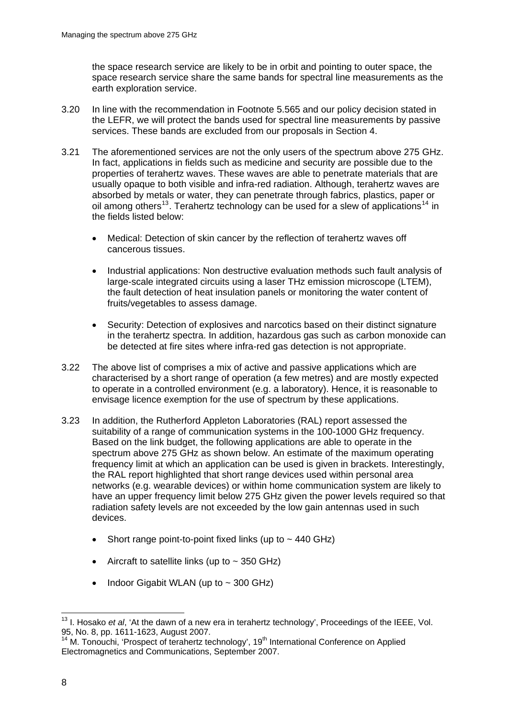the space research service are likely to be in orbit and pointing to outer space, the space research service share the same bands for spectral line measurements as the earth exploration service.

- 3.20 In line with the recommendation in Footnote 5.565 and our policy decision stated in the LEFR, we will protect the bands used for spectral line measurements by passive services. These bands are excluded from our proposals in Section 4.
- 3.21 The aforementioned services are not the only users of the spectrum above 275 GHz. In fact, applications in fields such as medicine and security are possible due to the properties of terahertz waves. These waves are able to penetrate materials that are usually opaque to both visible and infra-red radiation. Although, terahertz waves are absorbed by metals or water, they can penetrate through fabrics, plastics, paper or oil among others<sup>[13](#page-10-0)</sup>. Terahertz technology can be used for a slew of applications<sup>[14](#page-10-1)</sup> in the fields listed below:
	- Medical: Detection of skin cancer by the reflection of terahertz waves off cancerous tissues.
	- Industrial applications: Non destructive evaluation methods such fault analysis of large-scale integrated circuits using a laser THz emission microscope (LTEM), the fault detection of heat insulation panels or monitoring the water content of fruits/vegetables to assess damage.
	- Security: Detection of explosives and narcotics based on their distinct signature in the terahertz spectra. In addition, hazardous gas such as carbon monoxide can be detected at fire sites where infra-red gas detection is not appropriate.
- 3.22 The above list of comprises a mix of active and passive applications which are characterised by a short range of operation (a few metres) and are mostly expected to operate in a controlled environment (e.g. a laboratory). Hence, it is reasonable to envisage licence exemption for the use of spectrum by these applications.
- 3.23 In addition, the Rutherford Appleton Laboratories (RAL) report assessed the suitability of a range of communication systems in the 100-1000 GHz frequency. Based on the link budget, the following applications are able to operate in the spectrum above 275 GHz as shown below. An estimate of the maximum operating frequency limit at which an application can be used is given in brackets. Interestingly, the RAL report highlighted that short range devices used within personal area networks (e.g. wearable devices) or within home communication system are likely to have an upper frequency limit below 275 GHz given the power levels required so that radiation safety levels are not exceeded by the low gain antennas used in such devices.
	- Short range point-to-point fixed links (up to  $\sim$  440 GHz)
	- Aircraft to satellite links (up to  $\sim$  350 GHz)
	- Indoor Gigabit WLAN (up to  $\sim$  300 GHz)

 $\overline{a}$ 

<span id="page-10-0"></span><sup>&</sup>lt;sup>13</sup> I. Hosako *et al*, 'At the dawn of a new era in terahertz technology', Proceedings of the IEEE, Vol. 95, No. 8, pp. 1611-1623, August 2007.

<span id="page-10-1"></span> $14$  M. Tonouchi, 'Prospect of terahertz technology',  $19<sup>th</sup>$  International Conference on Applied Electromagnetics and Communications, September 2007.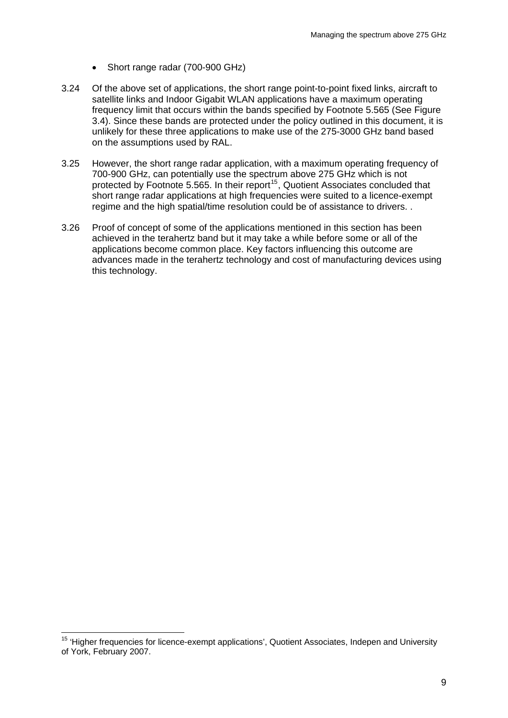- Short range radar (700-900 GHz)
- 3.24 Of the above set of applications, the short range point-to-point fixed links, aircraft to satellite links and Indoor Gigabit WLAN applications have a maximum operating frequency limit that occurs within the bands specified by Footnote 5.565 (See Figure 3.4). Since these bands are protected under the policy outlined in this document, it is unlikely for these three applications to make use of the 275-3000 GHz band based on the assumptions used by RAL.
- 3.25 However, the short range radar application, with a maximum operating frequency of 700-900 GHz, can potentially use the spectrum above 275 GHz which is not protected by Footnote 5.565. In their report<sup>[15](#page-11-0)</sup>, Quotient Associates concluded that short range radar applications at high frequencies were suited to a licence-exempt regime and the high spatial/time resolution could be of assistance to drivers. .
- 3.26 Proof of concept of some of the applications mentioned in this section has been achieved in the terahertz band but it may take a while before some or all of the applications become common place. Key factors influencing this outcome are advances made in the terahertz technology and cost of manufacturing devices using this technology.

1

<span id="page-11-0"></span><sup>&</sup>lt;sup>15</sup> 'Higher frequencies for licence-exempt applications', Quotient Associates, Indepen and University of York, February 2007.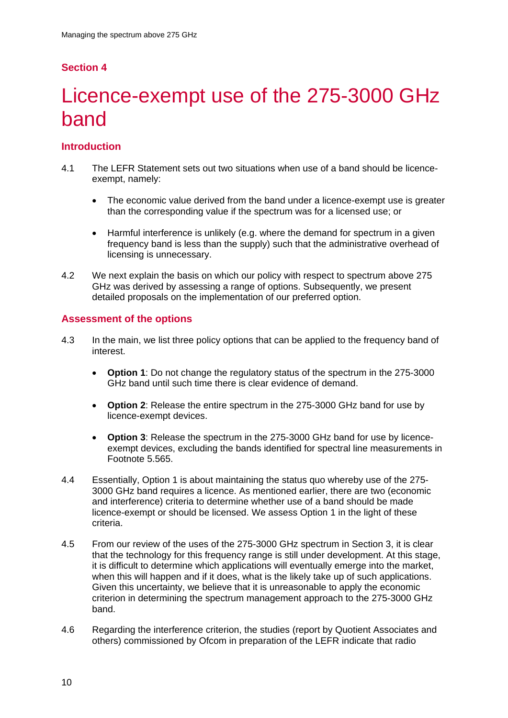# Licence-exempt use of the 275-3000 GHz band

## **Introduction**

- 4.1 The LEFR Statement sets out two situations when use of a band should be licenceexempt, namely:
	- The economic value derived from the band under a licence-exempt use is greater than the corresponding value if the spectrum was for a licensed use; or
	- Harmful interference is unlikely (e.g. where the demand for spectrum in a given frequency band is less than the supply) such that the administrative overhead of licensing is unnecessary.
- 4.2 We next explain the basis on which our policy with respect to spectrum above 275 GHz was derived by assessing a range of options. Subsequently, we present detailed proposals on the implementation of our preferred option.

#### **Assessment of the options**

- 4.3 In the main, we list three policy options that can be applied to the frequency band of interest.
	- **Option 1**: Do not change the regulatory status of the spectrum in the 275-3000 GHz band until such time there is clear evidence of demand.
	- **Option 2**: Release the entire spectrum in the 275-3000 GHz band for use by licence-exempt devices.
	- **Option 3**: Release the spectrum in the 275-3000 GHz band for use by licenceexempt devices, excluding the bands identified for spectral line measurements in Footnote 5.565.
- 4.4 Essentially, Option 1 is about maintaining the status quo whereby use of the 275- 3000 GHz band requires a licence. As mentioned earlier, there are two (economic and interference) criteria to determine whether use of a band should be made licence-exempt or should be licensed. We assess Option 1 in the light of these criteria.
- 4.5 From our review of the uses of the 275-3000 GHz spectrum in Section 3, it is clear that the technology for this frequency range is still under development. At this stage, it is difficult to determine which applications will eventually emerge into the market, when this will happen and if it does, what is the likely take up of such applications. Given this uncertainty, we believe that it is unreasonable to apply the economic criterion in determining the spectrum management approach to the 275-3000 GHz band.
- 4.6 Regarding the interference criterion, the studies (report by Quotient Associates and others) commissioned by Ofcom in preparation of the LEFR indicate that radio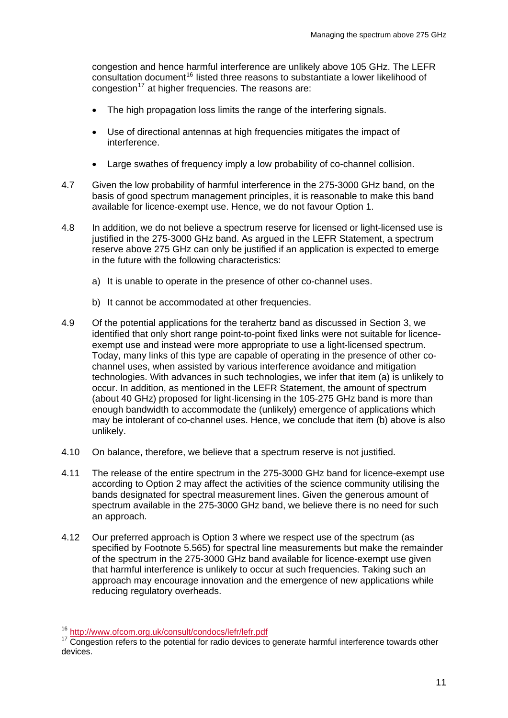congestion and hence harmful interference are unlikely above 105 GHz. The LEFR consultation document<sup>[16](#page-13-0)</sup> listed three reasons to substantiate a lower likelihood of congestion<sup>[17](#page-13-1)</sup> at higher frequencies. The reasons are:

- The high propagation loss limits the range of the interfering signals.
- Use of directional antennas at high frequencies mitigates the impact of interference.
- Large swathes of frequency imply a low probability of co-channel collision.
- 4.7 Given the low probability of harmful interference in the 275-3000 GHz band, on the basis of good spectrum management principles, it is reasonable to make this band available for licence-exempt use. Hence, we do not favour Option 1.
- 4.8 In addition, we do not believe a spectrum reserve for licensed or light-licensed use is justified in the 275-3000 GHz band. As argued in the LEFR Statement, a spectrum reserve above 275 GHz can only be justified if an application is expected to emerge in the future with the following characteristics:
	- a) It is unable to operate in the presence of other co-channel uses.
	- b) It cannot be accommodated at other frequencies.
- 4.9 Of the potential applications for the terahertz band as discussed in Section 3, we identified that only short range point-to-point fixed links were not suitable for licenceexempt use and instead were more appropriate to use a light-licensed spectrum. Today, many links of this type are capable of operating in the presence of other cochannel uses, when assisted by various interference avoidance and mitigation technologies. With advances in such technologies, we infer that item (a) is unlikely to occur. In addition, as mentioned in the LEFR Statement, the amount of spectrum (about 40 GHz) proposed for light-licensing in the 105-275 GHz band is more than enough bandwidth to accommodate the (unlikely) emergence of applications which may be intolerant of co-channel uses. Hence, we conclude that item (b) above is also unlikely.
- 4.10 On balance, therefore, we believe that a spectrum reserve is not justified.
- 4.11 The release of the entire spectrum in the 275-3000 GHz band for licence-exempt use according to Option 2 may affect the activities of the science community utilising the bands designated for spectral measurement lines. Given the generous amount of spectrum available in the 275-3000 GHz band, we believe there is no need for such an approach.
- 4.12 Our preferred approach is Option 3 where we respect use of the spectrum (as specified by Footnote 5.565) for spectral line measurements but make the remainder of the spectrum in the 275-3000 GHz band available for licence-exempt use given that harmful interference is unlikely to occur at such frequencies. Taking such an approach may encourage innovation and the emergence of new applications while reducing regulatory overheads.

<sup>&</sup>lt;sup>16</sup> http://www.ofcom.org.uk/consult/condocs/lefr/lefr.pdf

<span id="page-13-1"></span><span id="page-13-0"></span><sup>&</sup>lt;sup>17</sup> Congestion refers to the potential for radio devices to generate harmful interference towards other devices.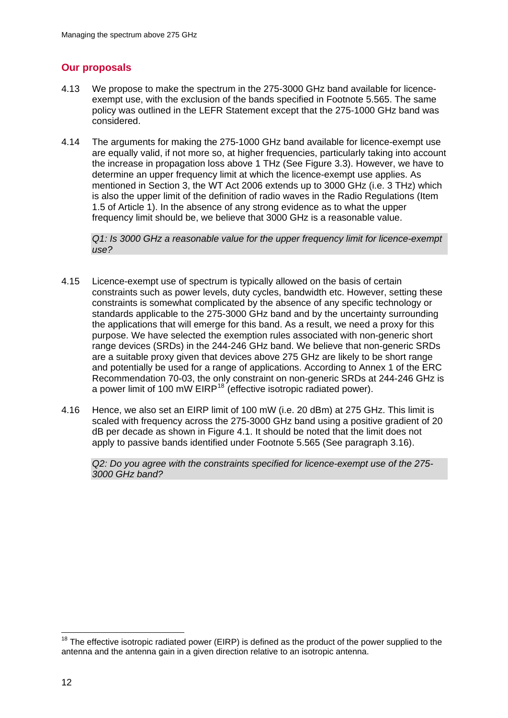### **Our proposals**

- 4.13 We propose to make the spectrum in the 275-3000 GHz band available for licenceexempt use, with the exclusion of the bands specified in Footnote 5.565. The same policy was outlined in the LEFR Statement except that the 275-1000 GHz band was considered.
- 4.14 The arguments for making the 275-1000 GHz band available for licence-exempt use are equally valid, if not more so, at higher frequencies, particularly taking into account the increase in propagation loss above 1 THz (See Figure 3.3). However, we have to determine an upper frequency limit at which the licence-exempt use applies. As mentioned in Section 3, the WT Act 2006 extends up to 3000 GHz (i.e. 3 THz) which is also the upper limit of the definition of radio waves in the Radio Regulations (Item 1.5 of Article 1). In the absence of any strong evidence as to what the upper frequency limit should be, we believe that 3000 GHz is a reasonable value.

*Q1: Is 3000 GHz a reasonable value for the upper frequency limit for licence-exempt use?* 

- 4.15 Licence-exempt use of spectrum is typically allowed on the basis of certain constraints such as power levels, duty cycles, bandwidth etc. However, setting these constraints is somewhat complicated by the absence of any specific technology or standards applicable to the 275-3000 GHz band and by the uncertainty surrounding the applications that will emerge for this band. As a result, we need a proxy for this purpose. We have selected the exemption rules associated with non-generic short range devices (SRDs) in the 244-246 GHz band. We believe that non-generic SRDs are a suitable proxy given that devices above 275 GHz are likely to be short range and potentially be used for a range of applications. According to Annex 1 of the ERC Recommendation 70-03, the only constraint on non-generic SRDs at 244-246 GHz is a power limit of 100 mW EIRP<sup>[18](#page-14-0)</sup> (effective isotropic radiated power).
- 4.16 Hence, we also set an EIRP limit of 100 mW (i.e. 20 dBm) at 275 GHz. This limit is scaled with frequency across the 275-3000 GHz band using a positive gradient of 20 dB per decade as shown in Figure 4.1. It should be noted that the limit does not apply to passive bands identified under Footnote 5.565 (See paragraph 3.16).

*Q2: Do you agree with the constraints specified for licence-exempt use of the 275- 3000 GHz band?* 

<span id="page-14-0"></span><sup>1</sup>  $18$  The effective isotropic radiated power (EIRP) is defined as the product of the power supplied to the antenna and the antenna gain in a given direction relative to an isotropic antenna.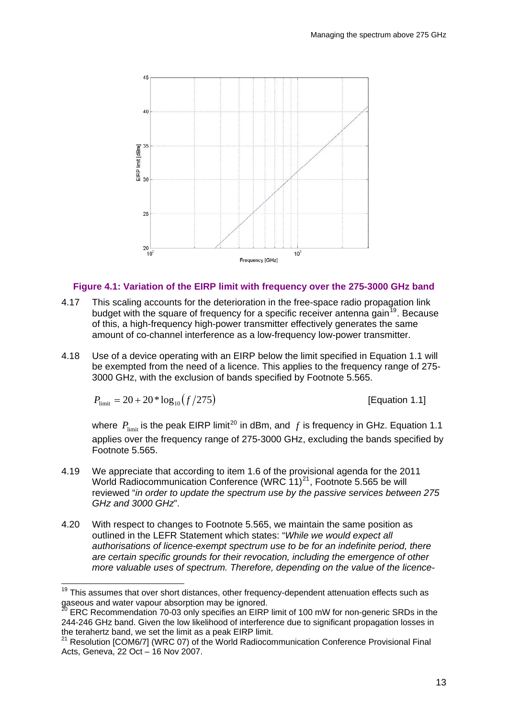

#### **Figure 4.1: Variation of the EIRP limit with frequency over the 275-3000 GHz band**

- 4.17 This scaling accounts for the deterioration in the free-space radio propagation link budget with the square of frequency for a specific receiver antenna gain<sup> $19$ </sup>. Because of this, a high-frequency high-power transmitter effectively generates the same amount of co-channel interference as a low-frequency low-power transmitter.
- 4.18 Use of a device operating with an EIRP below the limit specified in Equation 1.1 will be exempted from the need of a licence. This applies to the frequency range of 275- 3000 GHz, with the exclusion of bands specified by Footnote 5.565.

$$
P_{\text{limit}} = 20 + 20 * \log_{10} (f/275)
$$

 $\overline{a}$ 

[Equation 1.1]

where  $P_{\text{limit}}$  is the peak EIRP limit<sup>[20](#page-15-1)</sup> in dBm, and  $f$  is frequency in GHz. Equation 1.1 applies over the frequency range of 275-3000 GHz, excluding the bands specified by Footnote 5.565.

- 4.19 We appreciate that according to item 1.6 of the provisional agenda for the 2011 World Radiocommunication Conference (WRC  $11)^{21}$  $11)^{21}$  $11)^{21}$ , Footnote 5.565 be will reviewed "*in order to update the spectrum use by the passive services between 275 GHz and 3000 GHz*".
- 4.20 With respect to changes to Footnote 5.565, we maintain the same position as outlined in the LEFR Statement which states: "*While we would expect all authorisations of licence-exempt spectrum use to be for an indefinite period, there are certain specific grounds for their revocation, including the emergence of other more valuable uses of spectrum. Therefore, depending on the value of the licence-*

<span id="page-15-0"></span> $19$  This assumes that over short distances, other frequency-dependent attenuation effects such as gaseous and water vapour absorption may be ignored.

<span id="page-15-1"></span><sup>20</sup> ERC Recommendation 70-03 only specifies an EIRP limit of 100 mW for non-generic SRDs in the 244-246 GHz band. Given the low likelihood of interference due to significant propagation losses in the terahertz band, we set the limit as a peak EIRP limit.

<span id="page-15-2"></span><sup>&</sup>lt;sup>21</sup> Resolution [COM6/7] (WRC 07) of the World Radiocommunication Conference Provisional Final Acts, Geneva, 22 Oct – 16 Nov 2007.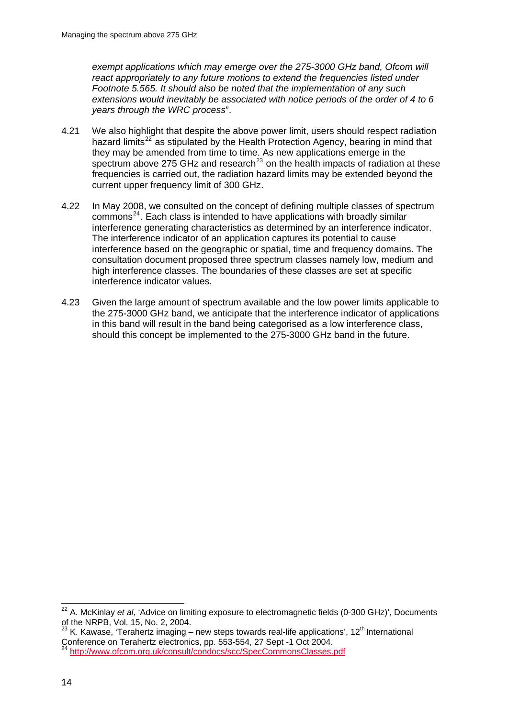*exempt applications which may emerge over the 275-3000 GHz band, Ofcom will react appropriately to any future motions to extend the frequencies listed under Footnote 5.565. It should also be noted that the implementation of any such extensions would inevitably be associated with notice periods of the order of 4 to 6 years through the WRC process*".

- 4.21 We also highlight that despite the above power limit, users should respect radiation hazard limits<sup>[22](#page-16-0)</sup> as stipulated by the Health Protection Agency, bearing in mind that they may be amended from time to time. As new applications emerge in the spectrum above 275 GHz and research<sup>[23](#page-16-1)</sup> on the health impacts of radiation at these frequencies is carried out, the radiation hazard limits may be extended beyond the current upper frequency limit of 300 GHz.
- 4.22 In May 2008, we consulted on the concept of defining multiple classes of spectrum  $commons<sup>24</sup>$  $commons<sup>24</sup>$  $commons<sup>24</sup>$ . Each class is intended to have applications with broadly similar interference generating characteristics as determined by an interference indicator. The interference indicator of an application captures its potential to cause interference based on the geographic or spatial, time and frequency domains. The consultation document proposed three spectrum classes namely low, medium and high interference classes. The boundaries of these classes are set at specific interference indicator values.
- 4.23 Given the large amount of spectrum available and the low power limits applicable to the 275-3000 GHz band, we anticipate that the interference indicator of applications in this band will result in the band being categorised as a low interference class, should this concept be implemented to the 275-3000 GHz band in the future.

<span id="page-16-0"></span><sup>1</sup> 22 A. McKinlay *et al*, 'Advice on limiting exposure to electromagnetic fields (0-300 GHz)', Documents of the NRPB, Vol. 15, No. 2, 2004.

<span id="page-16-1"></span> $^{23}$  K. Kawase, 'Terahertz imaging – new steps towards real-life applications', 12<sup>th</sup> International Conference on Terahertz electronics, pp. 553-554, 27 Sept -1 Oct 2004.

<span id="page-16-2"></span><sup>24</sup> <http://www.ofcom.org.uk/consult/condocs/scc/SpecCommonsClasses.pdf>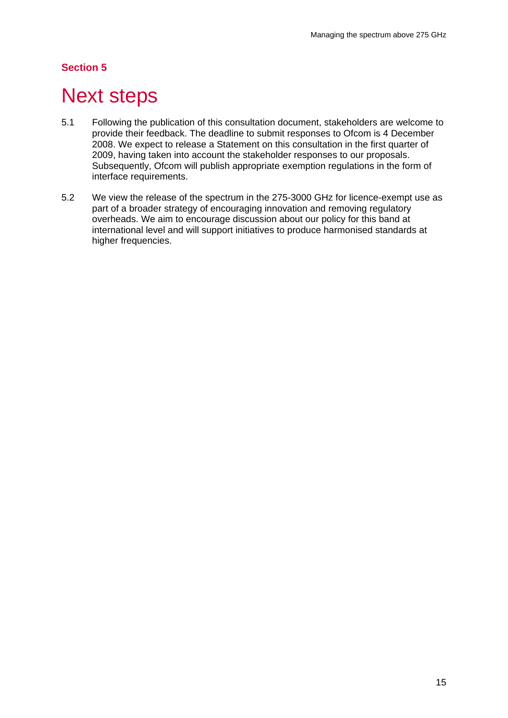## **Next steps**

- 5.1 Following the publication of this consultation document, stakeholders are welcome to provide their feedback. The deadline to submit responses to Ofcom is 4 December 2008. We expect to release a Statement on this consultation in the first quarter of 2009, having taken into account the stakeholder responses to our proposals. Subsequently, Ofcom will publish appropriate exemption regulations in the form of interface requirements.
- 5.2 We view the release of the spectrum in the 275-3000 GHz for licence-exempt use as part of a broader strategy of encouraging innovation and removing regulatory overheads. We aim to encourage discussion about our policy for this band at international level and will support initiatives to produce harmonised standards at higher frequencies.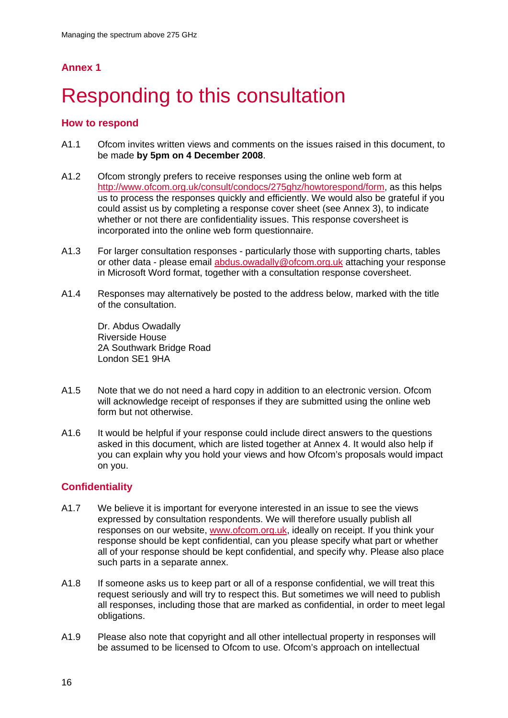# Responding to this consultation

### **How to respond**

- A1.1 Ofcom invites written views and comments on the issues raised in this document, to be made **by 5pm on 4 December 2008**.
- A1.2 Ofcom strongly prefers to receive responses using the online web form at [http://www.ofcom.org.uk/consult/condocs/275ghz/howtorespond/form,](http://www.ofcom.org.uk/consult/condocs/275ghz/howtorespond/form) as this helps us to process the responses quickly and efficiently. We would also be grateful if you could assist us by completing a response cover sheet (see Annex 3), to indicate whether or not there are confidentiality issues. This response coversheet is incorporated into the online web form questionnaire.
- A1.3 For larger consultation responses particularly those with supporting charts, tables or other data - please email [abdus.owadally@ofcom.org.uk](mailto:abdus.owadally@ofcom.org.uk) attaching your response in Microsoft Word format, together with a consultation response coversheet.
- A1.4 Responses may alternatively be posted to the address below, marked with the title of the consultation.

Dr. Abdus Owadally Riverside House 2A Southwark Bridge Road London SE1 9HA

- A1.5 Note that we do not need a hard copy in addition to an electronic version. Ofcom will acknowledge receipt of responses if they are submitted using the online web form but not otherwise.
- A1.6 It would be helpful if your response could include direct answers to the questions asked in this document, which are listed together at Annex 4. It would also help if you can explain why you hold your views and how Ofcom's proposals would impact on you.

### **Confidentiality**

- A1.7 We believe it is important for everyone interested in an issue to see the views expressed by consultation respondents. We will therefore usually publish all responses on our website, [www.ofcom.org.uk](http://www.ofcom.org.uk/), ideally on receipt. If you think your response should be kept confidential, can you please specify what part or whether all of your response should be kept confidential, and specify why. Please also place such parts in a separate annex.
- A1.8 If someone asks us to keep part or all of a response confidential, we will treat this request seriously and will try to respect this. But sometimes we will need to publish all responses, including those that are marked as confidential, in order to meet legal obligations.
- A1.9 Please also note that copyright and all other intellectual property in responses will be assumed to be licensed to Ofcom to use. Ofcom's approach on intellectual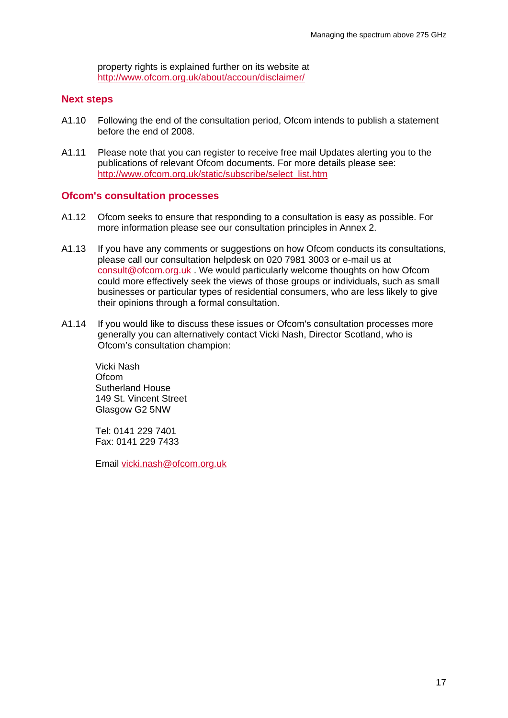property rights is explained further on its website at <http://www.ofcom.org.uk/about/accoun/disclaimer/>

#### **Next steps**

- A1.10 Following the end of the consultation period, Ofcom intends to publish a statement before the end of 2008.
- A1.11 Please note that you can register to receive free mail Updates alerting you to the publications of relevant Ofcom documents. For more details please see: [http://www.ofcom.org.uk/static/subscribe/select\\_list.htm](http://www.ofcom.org.uk/static/subscribe/select_list.htm)

#### **Ofcom's consultation processes**

- A1.12 Ofcom seeks to ensure that responding to a consultation is easy as possible. For more information please see our consultation principles in Annex 2.
- A1.13 If you have any comments or suggestions on how Ofcom conducts its consultations, please call our consultation helpdesk on 020 7981 3003 or e-mail us at [consult@ofcom.org.uk](mailto:consult@ofcom.org.uk) . We would particularly welcome thoughts on how Ofcom could more effectively seek the views of those groups or individuals, such as small businesses or particular types of residential consumers, who are less likely to give their opinions through a formal consultation.
- A1.14 If you would like to discuss these issues or Ofcom's consultation processes more generally you can alternatively contact Vicki Nash, Director Scotland, who is Ofcom's consultation champion:

Vicki Nash Ofcom Sutherland House 149 St. Vincent Street Glasgow G2 5NW

Tel: 0141 229 7401 Fax: 0141 229 7433

Email [vicki.nash@ofcom.org.uk](mailto:vicki.nash@ofcom.org.uk)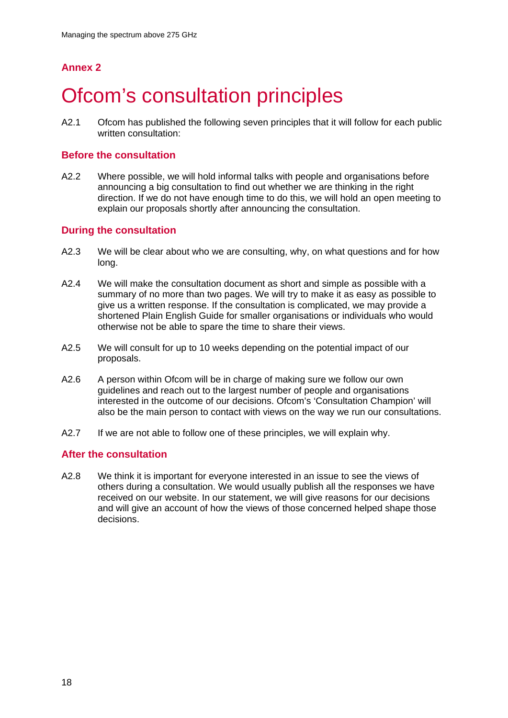# **Ofcom's consultation principles**

A2.1 Ofcom has published the following seven principles that it will follow for each public written consultation:

#### **Before the consultation**

A2.2 Where possible, we will hold informal talks with people and organisations before announcing a big consultation to find out whether we are thinking in the right direction. If we do not have enough time to do this, we will hold an open meeting to explain our proposals shortly after announcing the consultation.

#### **During the consultation**

- A2.3 We will be clear about who we are consulting, why, on what questions and for how long.
- A2.4 We will make the consultation document as short and simple as possible with a summary of no more than two pages. We will try to make it as easy as possible to give us a written response. If the consultation is complicated, we may provide a shortened Plain English Guide for smaller organisations or individuals who would otherwise not be able to spare the time to share their views.
- A2.5 We will consult for up to 10 weeks depending on the potential impact of our proposals.
- A2.6 A person within Ofcom will be in charge of making sure we follow our own guidelines and reach out to the largest number of people and organisations interested in the outcome of our decisions. Ofcom's 'Consultation Champion' will also be the main person to contact with views on the way we run our consultations.
- A2.7 If we are not able to follow one of these principles, we will explain why.

#### **After the consultation**

A2.8 We think it is important for everyone interested in an issue to see the views of others during a consultation. We would usually publish all the responses we have received on our website. In our statement, we will give reasons for our decisions and will give an account of how the views of those concerned helped shape those decisions.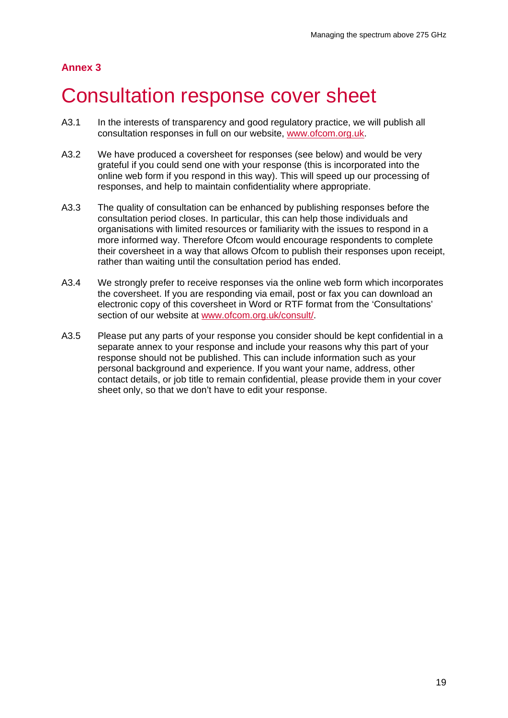## 3 Consultation response cover sheet

- A3.1 In the interests of transparency and good regulatory practice, we will publish all consultation responses in full on our website, [www.ofcom.org.uk.](http://www.ofcom.org.uk/)
- A3.2 We have produced a coversheet for responses (see below) and would be very grateful if you could send one with your response (this is incorporated into the online web form if you respond in this way). This will speed up our processing of responses, and help to maintain confidentiality where appropriate.
- A3.3 The quality of consultation can be enhanced by publishing responses before the consultation period closes. In particular, this can help those individuals and organisations with limited resources or familiarity with the issues to respond in a more informed way. Therefore Ofcom would encourage respondents to complete their coversheet in a way that allows Ofcom to publish their responses upon receipt, rather than waiting until the consultation period has ended.
- A3.4 We strongly prefer to receive responses via the online web form which incorporates the coversheet. If you are responding via email, post or fax you can download an electronic copy of this coversheet in Word or RTF format from the 'Consultations' section of our website at [www.ofcom.org.uk/consult/.](http://www.ofcom.org.uk/consult/)
- A3.5 Please put any parts of your response you consider should be kept confidential in a separate annex to your response and include your reasons why this part of your response should not be published. This can include information such as your personal background and experience. If you want your name, address, other contact details, or job title to remain confidential, please provide them in your cover sheet only, so that we don't have to edit your response.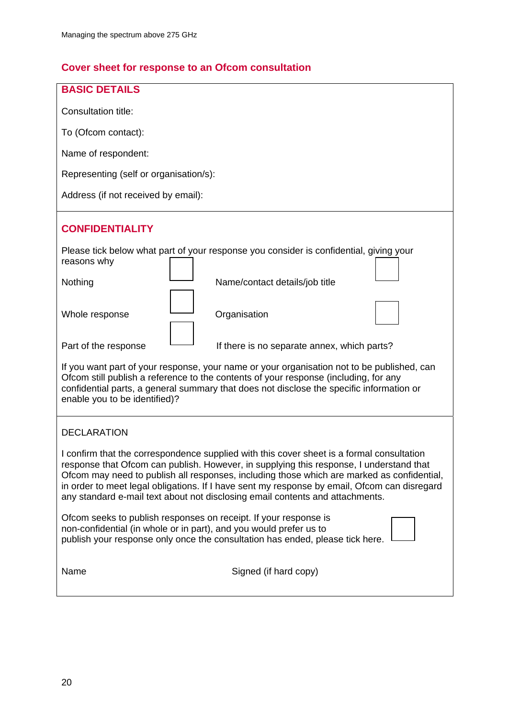## **Cover sheet for response to an Ofcom consultation**

| <b>BASIC DETAILS</b>                                                                                                                                                                                                                                                                                                                                                                                                                                                |  |  |  |  |  |
|---------------------------------------------------------------------------------------------------------------------------------------------------------------------------------------------------------------------------------------------------------------------------------------------------------------------------------------------------------------------------------------------------------------------------------------------------------------------|--|--|--|--|--|
| Consultation title:                                                                                                                                                                                                                                                                                                                                                                                                                                                 |  |  |  |  |  |
| To (Ofcom contact):                                                                                                                                                                                                                                                                                                                                                                                                                                                 |  |  |  |  |  |
| Name of respondent:                                                                                                                                                                                                                                                                                                                                                                                                                                                 |  |  |  |  |  |
| Representing (self or organisation/s):                                                                                                                                                                                                                                                                                                                                                                                                                              |  |  |  |  |  |
| Address (if not received by email):                                                                                                                                                                                                                                                                                                                                                                                                                                 |  |  |  |  |  |
| <b>CONFIDENTIALITY</b>                                                                                                                                                                                                                                                                                                                                                                                                                                              |  |  |  |  |  |
| Please tick below what part of your response you consider is confidential, giving your<br>reasons why                                                                                                                                                                                                                                                                                                                                                               |  |  |  |  |  |
| Nothing<br>Name/contact details/job title                                                                                                                                                                                                                                                                                                                                                                                                                           |  |  |  |  |  |
| Whole response<br>Organisation                                                                                                                                                                                                                                                                                                                                                                                                                                      |  |  |  |  |  |
| Part of the response<br>If there is no separate annex, which parts?                                                                                                                                                                                                                                                                                                                                                                                                 |  |  |  |  |  |
| If you want part of your response, your name or your organisation not to be published, can<br>Ofcom still publish a reference to the contents of your response (including, for any<br>confidential parts, a general summary that does not disclose the specific information or<br>enable you to be identified)?                                                                                                                                                     |  |  |  |  |  |
| <b>DECLARATION</b>                                                                                                                                                                                                                                                                                                                                                                                                                                                  |  |  |  |  |  |
| I confirm that the correspondence supplied with this cover sheet is a formal consultation<br>response that Ofcom can publish. However, in supplying this response, I understand that<br>Ofcom may need to publish all responses, including those which are marked as confidential,<br>in order to meet legal obligations. If I have sent my response by email, Ofcom can disregard<br>any standard e-mail text about not disclosing email contents and attachments. |  |  |  |  |  |
| Ofcom seeks to publish responses on receipt. If your response is<br>non-confidential (in whole or in part), and you would prefer us to<br>publish your response only once the consultation has ended, please tick here.                                                                                                                                                                                                                                             |  |  |  |  |  |
| Signed (if hard copy)<br>Name                                                                                                                                                                                                                                                                                                                                                                                                                                       |  |  |  |  |  |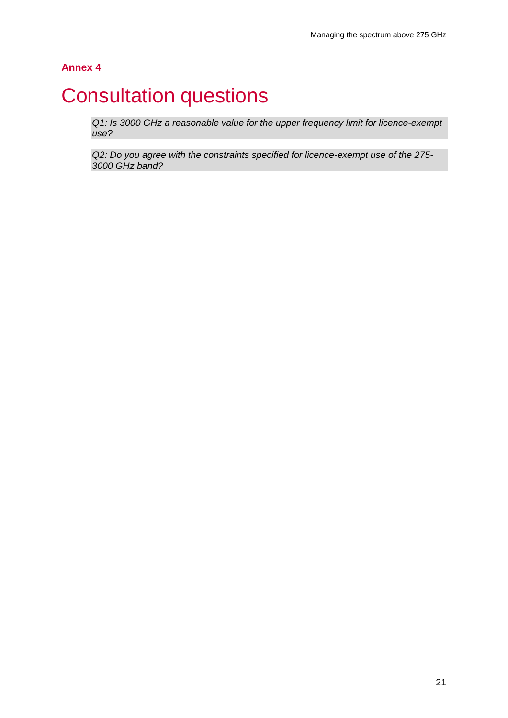## **Consultation questions**

*Q1: Is 3000 GHz a reasonable value for the upper frequency limit for licence-exempt use?* 

*Q2: Do you agree with the constraints specified for licence-exempt use of the 275- 3000 GHz band?*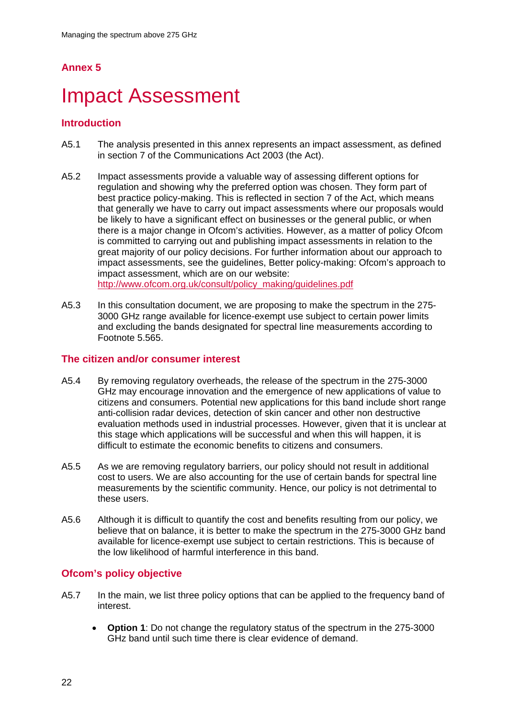# **Impact Assessment**

### **Introduction**

- A5.1 The analysis presented in this annex represents an impact assessment, as defined in section 7 of the Communications Act 2003 (the Act).
- A5.2 Impact assessments provide a valuable way of assessing different options for regulation and showing why the preferred option was chosen. They form part of best practice policy-making. This is reflected in section 7 of the Act, which means that generally we have to carry out impact assessments where our proposals would be likely to have a significant effect on businesses or the general public, or when there is a major change in Ofcom's activities. However, as a matter of policy Ofcom is committed to carrying out and publishing impact assessments in relation to the great majority of our policy decisions. For further information about our approach to impact assessments, see the guidelines, Better policy-making: Ofcom's approach to impact assessment, which are on our website: [http://www.ofcom.org.uk/consult/policy\\_making/guidelines.pdf](http://www.ofcom.org.uk/consult/policy_making/guidelines.pdf)
- A5.3 In this consultation document, we are proposing to make the spectrum in the 275- 3000 GHz range available for licence-exempt use subject to certain power limits and excluding the bands designated for spectral line measurements according to Footnote 5.565.

#### **The citizen and/or consumer interest**

- A5.4 By removing regulatory overheads, the release of the spectrum in the 275-3000 GHz may encourage innovation and the emergence of new applications of value to citizens and consumers. Potential new applications for this band include short range anti-collision radar devices, detection of skin cancer and other non destructive evaluation methods used in industrial processes. However, given that it is unclear at this stage which applications will be successful and when this will happen, it is difficult to estimate the economic benefits to citizens and consumers.
- A5.5 As we are removing regulatory barriers, our policy should not result in additional cost to users. We are also accounting for the use of certain bands for spectral line measurements by the scientific community. Hence, our policy is not detrimental to these users.
- A5.6 Although it is difficult to quantify the cost and benefits resulting from our policy, we believe that on balance, it is better to make the spectrum in the 275-3000 GHz band available for licence-exempt use subject to certain restrictions. This is because of the low likelihood of harmful interference in this band.

### **Ofcom's policy objective**

- A5.7 In the main, we list three policy options that can be applied to the frequency band of interest.
	- **Option 1**: Do not change the regulatory status of the spectrum in the 275-3000 GHz band until such time there is clear evidence of demand.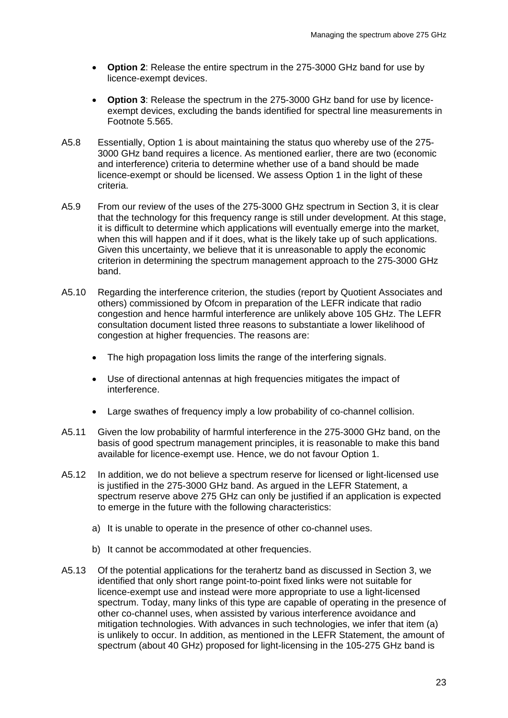- **Option 2**: Release the entire spectrum in the 275-3000 GHz band for use by licence-exempt devices.
- **Option 3**: Release the spectrum in the 275-3000 GHz band for use by licenceexempt devices, excluding the bands identified for spectral line measurements in Footnote 5.565.
- A5.8 Essentially, Option 1 is about maintaining the status quo whereby use of the 275- 3000 GHz band requires a licence. As mentioned earlier, there are two (economic and interference) criteria to determine whether use of a band should be made licence-exempt or should be licensed. We assess Option 1 in the light of these criteria.
- A5.9 From our review of the uses of the 275-3000 GHz spectrum in Section 3, it is clear that the technology for this frequency range is still under development. At this stage, it is difficult to determine which applications will eventually emerge into the market, when this will happen and if it does, what is the likely take up of such applications. Given this uncertainty, we believe that it is unreasonable to apply the economic criterion in determining the spectrum management approach to the 275-3000 GHz band.
- A5.10 Regarding the interference criterion, the studies (report by Quotient Associates and others) commissioned by Ofcom in preparation of the LEFR indicate that radio congestion and hence harmful interference are unlikely above 105 GHz. The LEFR consultation document listed three reasons to substantiate a lower likelihood of congestion at higher frequencies. The reasons are:
	- The high propagation loss limits the range of the interfering signals.
	- Use of directional antennas at high frequencies mitigates the impact of interference.
	- Large swathes of frequency imply a low probability of co-channel collision.
- A5.11 Given the low probability of harmful interference in the 275-3000 GHz band, on the basis of good spectrum management principles, it is reasonable to make this band available for licence-exempt use. Hence, we do not favour Option 1.
- A5.12 In addition, we do not believe a spectrum reserve for licensed or light-licensed use is justified in the 275-3000 GHz band. As argued in the LEFR Statement, a spectrum reserve above 275 GHz can only be justified if an application is expected to emerge in the future with the following characteristics:
	- a) It is unable to operate in the presence of other co-channel uses.
	- b) It cannot be accommodated at other frequencies.
- A5.13 Of the potential applications for the terahertz band as discussed in Section 3, we identified that only short range point-to-point fixed links were not suitable for licence-exempt use and instead were more appropriate to use a light-licensed spectrum. Today, many links of this type are capable of operating in the presence of other co-channel uses, when assisted by various interference avoidance and mitigation technologies. With advances in such technologies, we infer that item (a) is unlikely to occur. In addition, as mentioned in the LEFR Statement, the amount of spectrum (about 40 GHz) proposed for light-licensing in the 105-275 GHz band is